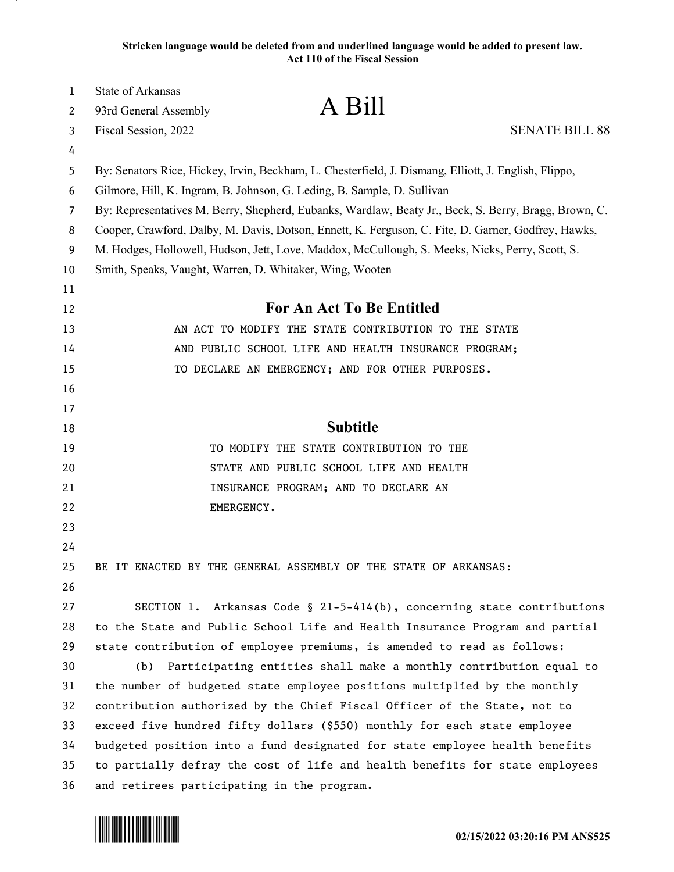**Stricken language would be deleted from and underlined language would be added to present law. Act 110 of the Fiscal Session**

| 1      | <b>State of Arkansas</b><br>A Bill                                                                    |
|--------|-------------------------------------------------------------------------------------------------------|
| 2      | 93rd General Assembly                                                                                 |
| 3      | Fiscal Session, 2022<br><b>SENATE BILL 88</b>                                                         |
| 4      | By: Senators Rice, Hickey, Irvin, Beckham, L. Chesterfield, J. Dismang, Elliott, J. English, Flippo,  |
| 5<br>6 | Gilmore, Hill, K. Ingram, B. Johnson, G. Leding, B. Sample, D. Sullivan                               |
| 7      | By: Representatives M. Berry, Shepherd, Eubanks, Wardlaw, Beaty Jr., Beck, S. Berry, Bragg, Brown, C. |
| 8      | Cooper, Crawford, Dalby, M. Davis, Dotson, Ennett, K. Ferguson, C. Fite, D. Garner, Godfrey, Hawks,   |
| 9      | M. Hodges, Hollowell, Hudson, Jett, Love, Maddox, McCullough, S. Meeks, Nicks, Perry, Scott, S.       |
| 10     | Smith, Speaks, Vaught, Warren, D. Whitaker, Wing, Wooten                                              |
| 11     |                                                                                                       |
| 12     | <b>For An Act To Be Entitled</b>                                                                      |
| 13     | AN ACT TO MODIFY THE STATE CONTRIBUTION TO THE STATE                                                  |
| 14     | AND PUBLIC SCHOOL LIFE AND HEALTH INSURANCE PROGRAM;                                                  |
| 15     | TO DECLARE AN EMERGENCY; AND FOR OTHER PURPOSES.                                                      |
| 16     |                                                                                                       |
| 17     |                                                                                                       |
| 18     | <b>Subtitle</b>                                                                                       |
| 19     | TO MODIFY THE STATE CONTRIBUTION TO THE                                                               |
| 20     | STATE AND PUBLIC SCHOOL LIFE AND HEALTH                                                               |
| 21     | INSURANCE PROGRAM; AND TO DECLARE AN                                                                  |
| 22     | EMERGENCY.                                                                                            |
| 23     |                                                                                                       |
| 24     |                                                                                                       |
| 25     | BE IT ENACTED BY THE GENERAL ASSEMBLY OF THE STATE OF ARKANSAS:                                       |
| 26     |                                                                                                       |
| 27     | SECTION 1. Arkansas Code § 21-5-414(b), concerning state contributions                                |
| 28     | to the State and Public School Life and Health Insurance Program and partial                          |
| 29     | state contribution of employee premiums, is amended to read as follows:                               |
| 30     | Participating entities shall make a monthly contribution equal to<br>(b)                              |
| 31     | the number of budgeted state employee positions multiplied by the monthly                             |
| 32     | contribution authorized by the Chief Fiscal Officer of the State, not to                              |
| 33     | exceed five hundred fifty dollars (\$550) monthly for each state employee                             |
| 34     | budgeted position into a fund designated for state employee health benefits                           |
| 35     | to partially defray the cost of life and health benefits for state employees                          |
| 36     | and retirees participating in the program.                                                            |